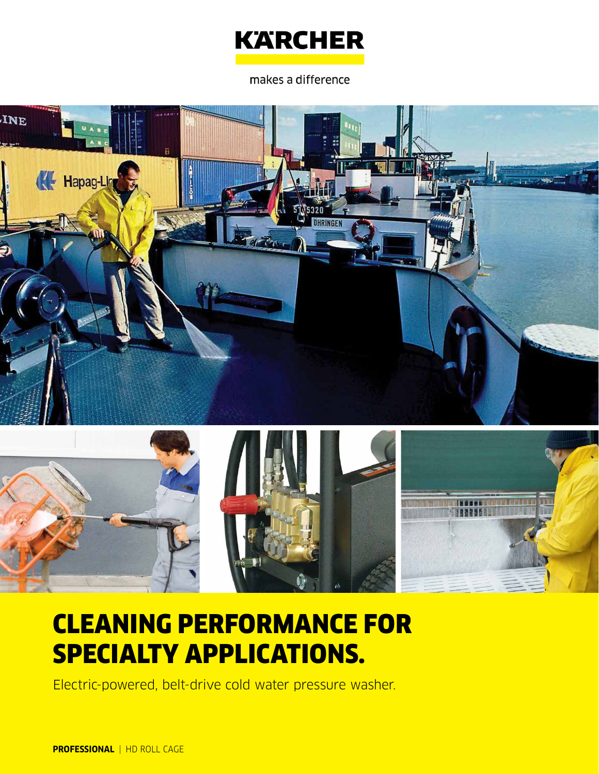

makes a difference





# CLEANING PERFORMANCE FOR SPECIALTY APPLICATIONS.

Electric-powered, belt-drive cold water pressure washer.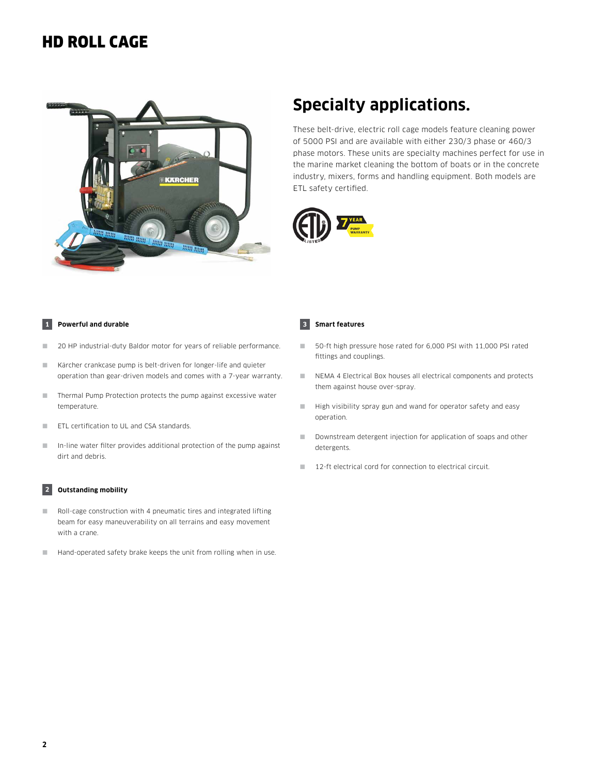### HD ROLL CAGE



### **Specialty applications.**

These belt-drive, electric roll cage models feature cleaning power of 5000 PSI and are available with either 230/3 phase or 460/3 phase motors. These units are specialty machines perfect for use in the marine market cleaning the bottom of boats or in the concrete industry, mixers, forms and handling equipment. Both models are ETL safety certified.



#### **1 Powerful and durable**

- 20 HP industrial-duty Baldor motor for years of reliable performance.
- Kärcher crankcase pump is belt-driven for longer-life and quieter operation than gear-driven models and comes with a 7-year warranty.
- Thermal Pump Protection protects the pump against excessive water temperature.
- ETL certification to UL and CSA standards.
- In-line water filter provides additional protection of the pump against dirt and debris.

#### **2 Outstanding mobility**

- Roll-cage construction with 4 pneumatic tires and integrated lifting beam for easy maneuverability on all terrains and easy movement with a crane.
- Hand-operated safety brake keeps the unit from rolling when in use.

#### **3 Smart features**

- 50-ft high pressure hose rated for 6,000 PSI with 11,000 PSI rated fittings and couplings.
- NEMA 4 Electrical Box houses all electrical components and protects them against house over-spray.
- High visibility spray gun and wand for operator safety and easy operation.
- Downstream detergent injection for application of soaps and other detergents.
- 12-ft electrical cord for connection to electrical circuit.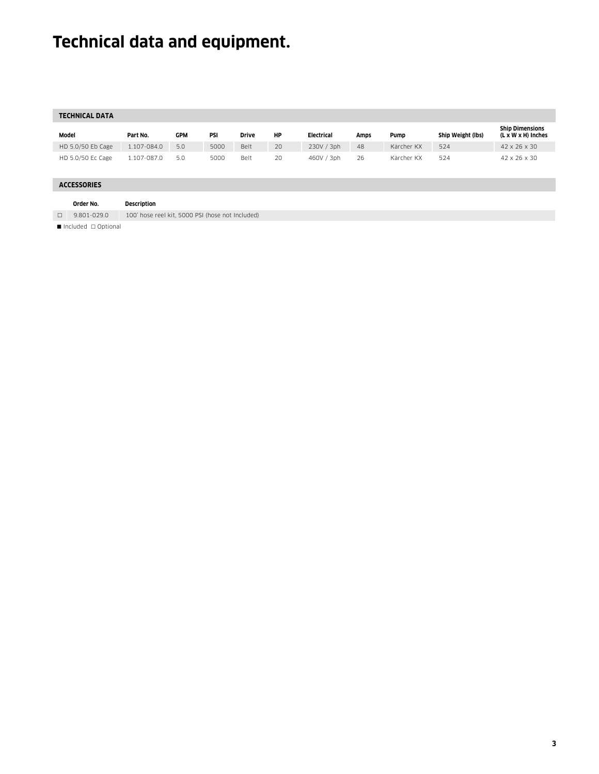## **Technical data and equipment.**

| <b>TECHNICAL DATA</b> |                   |                                                  |            |      |       |    |            |      |            |                   |                                              |
|-----------------------|-------------------|--------------------------------------------------|------------|------|-------|----|------------|------|------------|-------------------|----------------------------------------------|
| Model                 |                   | Part No.                                         | <b>GPM</b> | PSI  | Drive | НP | Electrical | Amps | Pump       | Ship Weight (lbs) | <b>Ship Dimensions</b><br>(L x W x H) Inches |
|                       | HD 5.0/50 Eb Cage | 1.107-084.0                                      | 5.0        | 5000 | Belt  | 20 | 230V / 3ph | 48   | Kärcher KX | 524               | 42 x 26 x 30                                 |
|                       | HD 5.0/50 Ec Cage | 1.107-087.0                                      | 5.0        | 5000 | Belt  | 20 | 460V / 3ph | 26   | Kärcher KX | 524               | 42 x 26 x 30                                 |
| <b>ACCESSORIES</b>    |                   |                                                  |            |      |       |    |            |      |            |                   |                                              |
|                       |                   |                                                  |            |      |       |    |            |      |            |                   |                                              |
|                       | Order No.         | <b>Description</b>                               |            |      |       |    |            |      |            |                   |                                              |
| $\Box$                | 9.801-029.0       | 100' hose reel kit, 5000 PSI (hose not Included) |            |      |       |    |            |      |            |                   |                                              |
|                       |                   |                                                  |            |      |       |    |            |      |            |                   |                                              |

 $\blacksquare$  Included  $\Box$  Optional